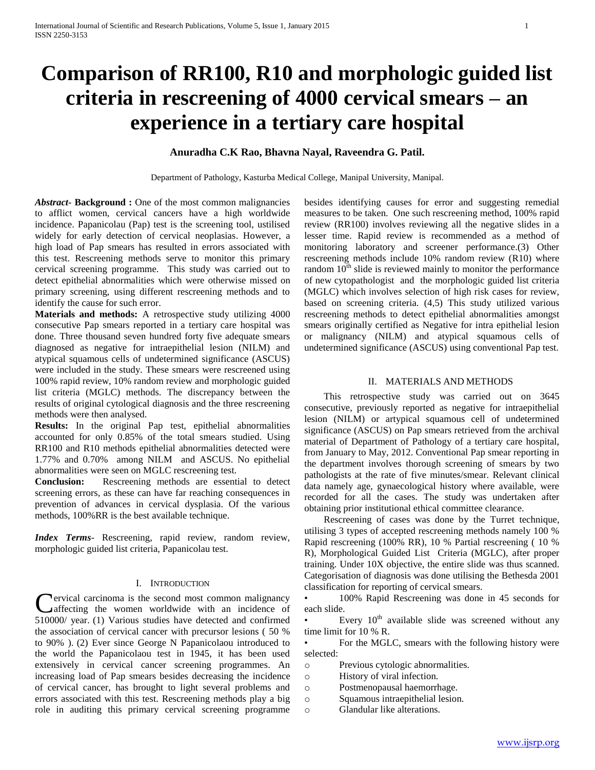# **Comparison of RR100, R10 and morphologic guided list criteria in rescreening of 4000 cervical smears – an experience in a tertiary care hospital**

# **Anuradha C.K Rao, Bhavna Nayal, Raveendra G. Patil.**

Department of Pathology, Kasturba Medical College, Manipal University, Manipal.

*Abstract***- Background :** One of the most common malignancies to afflict women, cervical cancers have a high worldwide incidence. Papanicolau (Pap) test is the screening tool, ustilised widely for early detection of cervical neoplasias. However, a high load of Pap smears has resulted in errors associated with this test. Rescreening methods serve to monitor this primary cervical screening programme. This study was carried out to detect epithelial abnormalities which were otherwise missed on primary screening, using different rescreening methods and to identify the cause for such error.

**Materials and methods:** A retrospective study utilizing 4000 consecutive Pap smears reported in a tertiary care hospital was done. Three thousand seven hundred forty five adequate smears diagnosed as negative for intraepithelial lesion (NILM) and atypical squamous cells of undetermined significance (ASCUS) were included in the study. These smears were rescreened using 100% rapid review, 10% random review and morphologic guided list criteria (MGLC) methods. The discrepancy between the results of original cytological diagnosis and the three rescreening methods were then analysed.

**Results:** In the original Pap test, epithelial abnormalities accounted for only 0.85% of the total smears studied. Using RR100 and R10 methods epithelial abnormalities detected were 1.77% and 0.70% among NILM and ASCUS. No epithelial abnormalities were seen on MGLC rescreening test.

**Conclusion:** Rescreening methods are essential to detect screening errors, as these can have far reaching consequences in prevention of advances in cervical dysplasia. Of the various methods, 100%RR is the best available technique.

*Index Terms*- Rescreening, rapid review, random review, morphologic guided list criteria, Papanicolau test.

# I. INTRODUCTION

**Nervical carcinoma is the second most common malignancy C**ervical carcinoma is the second most common malignancy<br>
affecting the women worldwide with an incidence of 510000/ year. (1) Various studies have detected and confirmed the association of cervical cancer with precursor lesions ( 50 % to 90% ). (2) Ever since George N Papanicolaou introduced to the world the Papanicolaou test in 1945, it has been used extensively in cervical cancer screening programmes. An increasing load of Pap smears besides decreasing the incidence of cervical cancer, has brought to light several problems and errors associated with this test. Rescreening methods play a big role in auditing this primary cervical screening programme

besides identifying causes for error and suggesting remedial measures to be taken. One such rescreening method, 100% rapid review (RR100) involves reviewing all the negative slides in a lesser time. Rapid review is recommended as a method of monitoring laboratory and screener performance.(3) Other rescreening methods include 10% random review (R10) where random  $10<sup>th</sup>$  slide is reviewed mainly to monitor the performance of new cytopathologist and the morphologic guided list criteria (MGLC) which involves selection of high risk cases for review, based on screening criteria. (4,5) This study utilized various rescreening methods to detect epithelial abnormalities amongst smears originally certified as Negative for intra epithelial lesion or malignancy (NILM) and atypical squamous cells of undetermined significance (ASCUS) using conventional Pap test.

## II. MATERIALS AND METHODS

 This retrospective study was carried out on 3645 consecutive, previously reported as negative for intraepithelial lesion (NILM) or artypical squamous cell of undetermined significance (ASCUS) on Pap smears retrieved from the archival material of Department of Pathology of a tertiary care hospital, from January to May, 2012. Conventional Pap smear reporting in the department involves thorough screening of smears by two pathologists at the rate of five minutes/smear. Relevant clinical data namely age, gynaecological history where available, were recorded for all the cases. The study was undertaken after obtaining prior institutional ethical committee clearance.

 Rescreening of cases was done by the Turret technique, utilising 3 types of accepted rescreening methods namely 100 % Rapid rescreening (100% RR), 10 % Partial rescreening ( 10 % R), Morphological Guided List Criteria (MGLC), after proper training. Under 10X objective, the entire slide was thus scanned. Categorisation of diagnosis was done utilising the Bethesda 2001 classification for reporting of cervical smears.

• 100% Rapid Rescreening was done in 45 seconds for each slide.

• Every  $10<sup>th</sup>$  available slide was screened without any time limit for 10 % R.

• For the MGLC, smears with the following history were selected:

- o Previous cytologic abnormalities.
- o History of viral infection.
- o Postmenopausal haemorrhage.
- o Squamous intraepithelial lesion.
- o Glandular like alterations.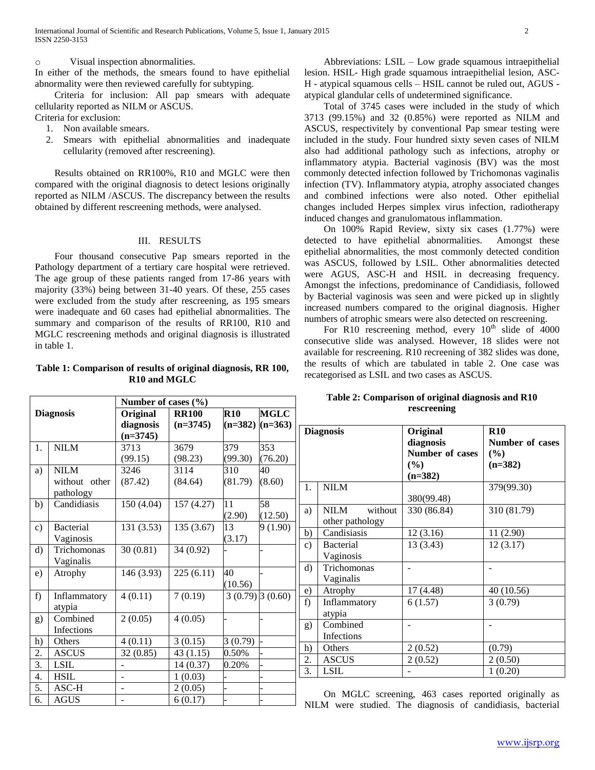#### o Visual inspection abnormalities.

In either of the methods, the smears found to have epithelial abnormality were then reviewed carefully for subtyping.

 Criteria for inclusion: All pap smears with adequate cellularity reported as NILM or ASCUS. Criteria for exclusion:

- 1. Non available smears.
- 2. Smears with epithelial abnormalities and inadequate cellularity (removed after rescreening).

 Results obtained on RR100%, R10 and MGLC were then compared with the original diagnosis to detect lesions originally reported as NILM /ASCUS. The discrepancy between the results obtained by different rescreening methods, were analysed.

## III. RESULTS

 Four thousand consecutive Pap smears reported in the Pathology department of a tertiary care hospital were retrieved. The age group of these patients ranged from 17-86 years with majority (33%) being between 31-40 years. Of these, 255 cases were excluded from the study after rescreening, as 195 smears were inadequate and 60 cases had epithelial abnormalities. The summary and comparison of the results of RR100, R10 and MGLC rescreening methods and original diagnosis is illustrated in table 1.

# **Table 1: Comparison of results of original diagnosis, RR 100, R10 and MGLC**

 Abbreviations: LSIL – Low grade squamous intraepithelial lesion. HSIL- High grade squamous intraepithelial lesion, ASC-H - atypical squamous cells – HSIL cannot be ruled out, AGUS atypical glandular cells of undetermined significance.

 Total of 3745 cases were included in the study of which 3713 (99.15%) and 32 (0.85%) were reported as NILM and ASCUS, respectivitely by conventional Pap smear testing were included in the study. Four hundred sixty seven cases of NILM also had additional pathology such as infections, atrophy or inflammatory atypia. Bacterial vaginosis (BV) was the most commonly detected infection followed by Trichomonas vaginalis infection (TV). Inflammatory atypia, atrophy associated changes and combined infections were also noted. Other epithelial changes included Herpes simplex virus infection, radiotherapy induced changes and granulomatous inflammation.

 On 100% Rapid Review, sixty six cases (1.77%) were detected to have epithelial abnormalities. Amongst these epithelial abnormalities, the most commonly detected condition was ASCUS, followed by LSIL. Other abnormalities detected were AGUS, ASC-H and HSIL in decreasing frequency. Amongst the infections, predominance of Candidiasis, followed by Bacterial vaginosis was seen and were picked up in slightly increased numbers compared to the original diagnosis. Higher numbers of atrophic smears were also detected on rescreening.

For R10 rescreening method, every  $10<sup>th</sup>$  slide of 4000 consecutive slide was analysed. However, 18 slides were not available for rescreening. R10 recreening of 382 slides was done, the results of which are tabulated in table 2. One case was recategorised as LSIL and two cases as ASCUS.

| <b>Diagnosis</b><br><b>R10</b><br><b>MGLC</b><br>Original<br><b>RR100</b><br>diagnosis<br>$(n=3745)$<br>$(n=382)$ $(n=363)$<br>$(n=3745)$<br><b>NILM</b><br>379<br>353<br>3713<br>3679<br>1.<br>(99.30)<br>(76.20)<br>(99.15)<br>(98.23)<br><b>NILM</b><br>3246<br>3114<br>310<br>40<br>a)<br>(81.79)<br>(8.60)<br>without other<br>(87.42)<br>(84.64)<br>pathology<br>58<br>Candidiasis<br>150 (4.04)<br>157 (4.27)<br>11<br>b)<br>(2.90)<br>(12.50)<br><b>Bacterial</b><br>135 (3.67)<br>13<br>131 (3.53)<br>c)<br>9(1.90)<br>Vaginosis<br>(3.17)<br>d)<br>Trichomonas<br>30(0.81)<br>34 (0.92)<br>Vaginalis<br>40<br>146 (3.93)<br>225(6.11)<br>e)<br>Atrophy<br>(10.56)<br>$\overline{4(0.11)}$<br>7(0.19)<br>$3(0.79)$ $3(0.60)$<br>f)<br>Inflammatory<br>atypia<br>Combined<br>4(0.05)<br>2(0.05)<br>g)<br>Infections<br>4(0.11)<br>3(0.15)<br>3(0.79)<br>h)<br>Others<br>2.<br>0.50%<br><b>ASCUS</b><br>32 (0.85)<br>43(1.15)<br>3.<br><b>LSIL</b><br>14 (0.37)<br>0.20%<br>4.<br><b>HSIL</b><br>1(0.03)<br>5.<br>ASC-H<br>2(0.05)<br><b>AGUS</b><br>6.<br>6(0.17) |  |  | Number of cases (%) |  |  |  |  |  |
|---------------------------------------------------------------------------------------------------------------------------------------------------------------------------------------------------------------------------------------------------------------------------------------------------------------------------------------------------------------------------------------------------------------------------------------------------------------------------------------------------------------------------------------------------------------------------------------------------------------------------------------------------------------------------------------------------------------------------------------------------------------------------------------------------------------------------------------------------------------------------------------------------------------------------------------------------------------------------------------------------------------------------------------------------------------------------|--|--|---------------------|--|--|--|--|--|
|                                                                                                                                                                                                                                                                                                                                                                                                                                                                                                                                                                                                                                                                                                                                                                                                                                                                                                                                                                                                                                                                           |  |  |                     |  |  |  |  |  |
|                                                                                                                                                                                                                                                                                                                                                                                                                                                                                                                                                                                                                                                                                                                                                                                                                                                                                                                                                                                                                                                                           |  |  |                     |  |  |  |  |  |
|                                                                                                                                                                                                                                                                                                                                                                                                                                                                                                                                                                                                                                                                                                                                                                                                                                                                                                                                                                                                                                                                           |  |  |                     |  |  |  |  |  |
|                                                                                                                                                                                                                                                                                                                                                                                                                                                                                                                                                                                                                                                                                                                                                                                                                                                                                                                                                                                                                                                                           |  |  |                     |  |  |  |  |  |
|                                                                                                                                                                                                                                                                                                                                                                                                                                                                                                                                                                                                                                                                                                                                                                                                                                                                                                                                                                                                                                                                           |  |  |                     |  |  |  |  |  |
|                                                                                                                                                                                                                                                                                                                                                                                                                                                                                                                                                                                                                                                                                                                                                                                                                                                                                                                                                                                                                                                                           |  |  |                     |  |  |  |  |  |
|                                                                                                                                                                                                                                                                                                                                                                                                                                                                                                                                                                                                                                                                                                                                                                                                                                                                                                                                                                                                                                                                           |  |  |                     |  |  |  |  |  |
|                                                                                                                                                                                                                                                                                                                                                                                                                                                                                                                                                                                                                                                                                                                                                                                                                                                                                                                                                                                                                                                                           |  |  |                     |  |  |  |  |  |
|                                                                                                                                                                                                                                                                                                                                                                                                                                                                                                                                                                                                                                                                                                                                                                                                                                                                                                                                                                                                                                                                           |  |  |                     |  |  |  |  |  |
|                                                                                                                                                                                                                                                                                                                                                                                                                                                                                                                                                                                                                                                                                                                                                                                                                                                                                                                                                                                                                                                                           |  |  |                     |  |  |  |  |  |
|                                                                                                                                                                                                                                                                                                                                                                                                                                                                                                                                                                                                                                                                                                                                                                                                                                                                                                                                                                                                                                                                           |  |  |                     |  |  |  |  |  |
|                                                                                                                                                                                                                                                                                                                                                                                                                                                                                                                                                                                                                                                                                                                                                                                                                                                                                                                                                                                                                                                                           |  |  |                     |  |  |  |  |  |
|                                                                                                                                                                                                                                                                                                                                                                                                                                                                                                                                                                                                                                                                                                                                                                                                                                                                                                                                                                                                                                                                           |  |  |                     |  |  |  |  |  |
|                                                                                                                                                                                                                                                                                                                                                                                                                                                                                                                                                                                                                                                                                                                                                                                                                                                                                                                                                                                                                                                                           |  |  |                     |  |  |  |  |  |
|                                                                                                                                                                                                                                                                                                                                                                                                                                                                                                                                                                                                                                                                                                                                                                                                                                                                                                                                                                                                                                                                           |  |  |                     |  |  |  |  |  |
|                                                                                                                                                                                                                                                                                                                                                                                                                                                                                                                                                                                                                                                                                                                                                                                                                                                                                                                                                                                                                                                                           |  |  |                     |  |  |  |  |  |
|                                                                                                                                                                                                                                                                                                                                                                                                                                                                                                                                                                                                                                                                                                                                                                                                                                                                                                                                                                                                                                                                           |  |  |                     |  |  |  |  |  |
|                                                                                                                                                                                                                                                                                                                                                                                                                                                                                                                                                                                                                                                                                                                                                                                                                                                                                                                                                                                                                                                                           |  |  |                     |  |  |  |  |  |
|                                                                                                                                                                                                                                                                                                                                                                                                                                                                                                                                                                                                                                                                                                                                                                                                                                                                                                                                                                                                                                                                           |  |  |                     |  |  |  |  |  |
|                                                                                                                                                                                                                                                                                                                                                                                                                                                                                                                                                                                                                                                                                                                                                                                                                                                                                                                                                                                                                                                                           |  |  |                     |  |  |  |  |  |
|                                                                                                                                                                                                                                                                                                                                                                                                                                                                                                                                                                                                                                                                                                                                                                                                                                                                                                                                                                                                                                                                           |  |  |                     |  |  |  |  |  |
|                                                                                                                                                                                                                                                                                                                                                                                                                                                                                                                                                                                                                                                                                                                                                                                                                                                                                                                                                                                                                                                                           |  |  |                     |  |  |  |  |  |
|                                                                                                                                                                                                                                                                                                                                                                                                                                                                                                                                                                                                                                                                                                                                                                                                                                                                                                                                                                                                                                                                           |  |  |                     |  |  |  |  |  |
|                                                                                                                                                                                                                                                                                                                                                                                                                                                                                                                                                                                                                                                                                                                                                                                                                                                                                                                                                                                                                                                                           |  |  |                     |  |  |  |  |  |
|                                                                                                                                                                                                                                                                                                                                                                                                                                                                                                                                                                                                                                                                                                                                                                                                                                                                                                                                                                                                                                                                           |  |  |                     |  |  |  |  |  |
|                                                                                                                                                                                                                                                                                                                                                                                                                                                                                                                                                                                                                                                                                                                                                                                                                                                                                                                                                                                                                                                                           |  |  |                     |  |  |  |  |  |

## **Table 2: Comparison of original diagnosis and R10 rescreening**

| <b>Diagnosis</b> |                        | Original        | <b>R10</b>             |  |  |
|------------------|------------------------|-----------------|------------------------|--|--|
|                  |                        | diagnosis       | <b>Number of cases</b> |  |  |
|                  |                        | Number of cases | $(\%)$                 |  |  |
|                  |                        | $(\%)$          | $(n=382)$              |  |  |
|                  |                        | $(n=382)$       |                        |  |  |
| 1.               | <b>NILM</b>            |                 | 379(99.30)             |  |  |
|                  |                        | 380(99.48)      |                        |  |  |
| a)               | <b>NILM</b><br>without | 330 (86.84)     | 310 (81.79)            |  |  |
|                  | other pathology        |                 |                        |  |  |
| $\mathbf{b}$     | Candisiasis            | 12(3.16)        | 11 (2.90)              |  |  |
| $\mathbf{c})$    | <b>Bacterial</b>       | 13 (3.43)       | 12(3.17)               |  |  |
|                  | Vaginosis              |                 |                        |  |  |
| d)               | Trichomonas            |                 |                        |  |  |
|                  | Vaginalis              |                 |                        |  |  |
| e)               | Atrophy                | 17 (4.48)       | 40 (10.56)             |  |  |
| f)               | Inflammatory           | 6(1.57)         | 3(0.79)                |  |  |
|                  | atypia                 |                 |                        |  |  |
| g)               | Combined               |                 |                        |  |  |
|                  | Infections             |                 |                        |  |  |
| h)               | Others                 | 2(0.52)         | (0.79)                 |  |  |
| 2.               | <b>ASCUS</b>           | 2(0.52)         | 2(0.50)                |  |  |
| 3.               | <b>LSIL</b>            |                 | 1(0.20)                |  |  |

 On MGLC screening, 463 cases reported originally as NILM were studied. The diagnosis of candidiasis, bacterial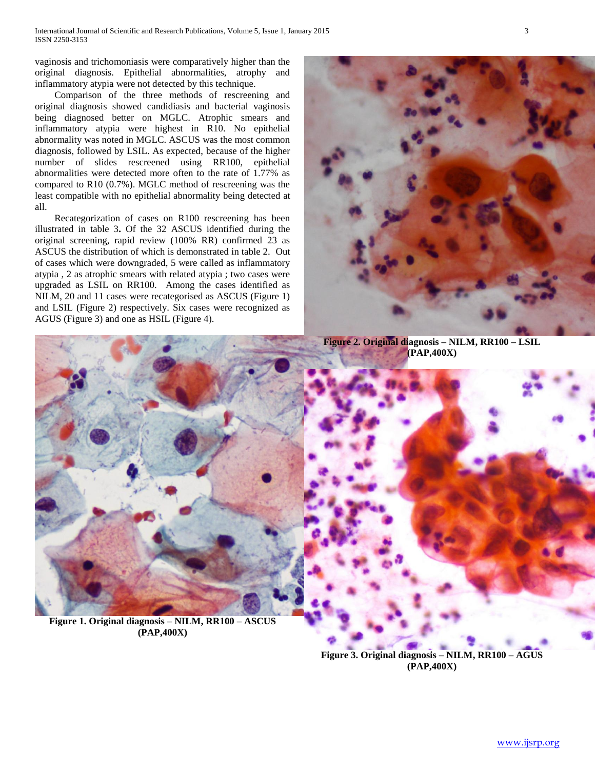International Journal of Scientific and Research Publications, Volume 5, Issue 1, January 2015 3 ISSN 2250-3153

vaginosis and trichomoniasis were comparatively higher than the original diagnosis. Epithelial abnormalities, atrophy and inflammatory atypia were not detected by this technique.

 Comparison of the three methods of rescreening and original diagnosis showed candidiasis and bacterial vaginosis being diagnosed better on MGLC. Atrophic smears and inflammatory atypia were highest in R10. No epithelial abnormality was noted in MGLC. ASCUS was the most common diagnosis, followed by LSIL. As expected, because of the higher number of slides rescreened using RR100, epithelial abnormalities were detected more often to the rate of 1.77% as compared to R10 (0.7%). MGLC method of rescreening was the least compatible with no epithelial abnormality being detected at all.

 Recategorization of cases on R100 rescreening has been illustrated in table 3**.** Of the 32 ASCUS identified during the original screening, rapid review (100% RR) confirmed 23 as ASCUS the distribution of which is demonstrated in table 2. Out of cases which were downgraded, 5 were called as inflammatory atypia , 2 as atrophic smears with related atypia ; two cases were upgraded as LSIL on RR100. Among the cases identified as NILM, 20 and 11 cases were recategorised as ASCUS (Figure 1) and LSIL (Figure 2) respectively. Six cases were recognized as AGUS (Figure 3) and one as HSIL (Figure 4).



**Figure 2. Original diagnosis – NILM, RR100 – LSIL (PAP,400X)**



**(PAP,400X)**

**Figure 3. Original diagnosis – NILM, RR100 – AGUS (PAP,400X)**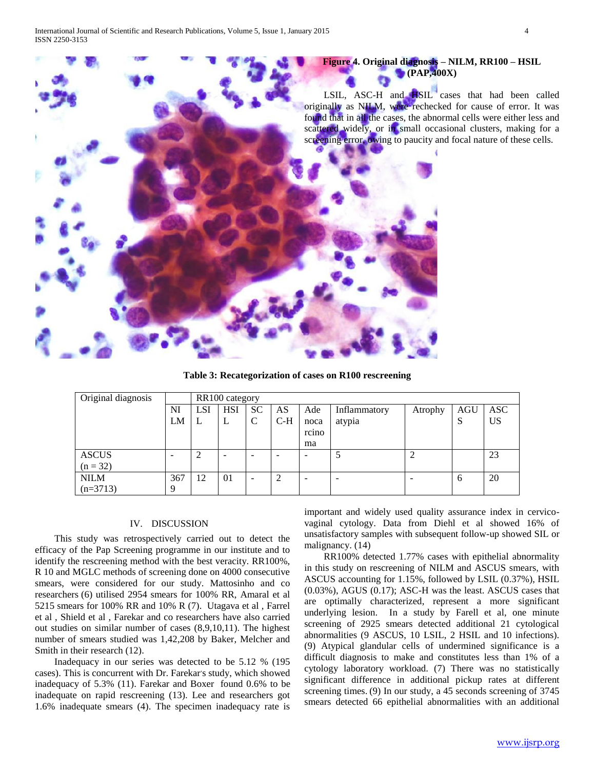

**Table 3: Recategorization of cases on R100 rescreening**

| Original diagnosis |     | RR100 category |            |               |        |                          |              |         |            |            |
|--------------------|-----|----------------|------------|---------------|--------|--------------------------|--------------|---------|------------|------------|
|                    | NI  | <b>LSI</b>     | <b>HSI</b> | <b>SC</b>     | AS     | Ade                      | Inflammatory | Atrophy | <b>AGU</b> | <b>ASC</b> |
|                    | LM  | ┶              | L          | $\mathcal{C}$ | $C-H$  | noca                     | atypia       |         | S          | <b>US</b>  |
|                    |     |                |            |               |        | rcino                    |              |         |            |            |
|                    |     |                |            |               |        | ma                       |              |         |            |            |
| <b>ASCUS</b>       |     | ◠              |            | -             |        | $\overline{\phantom{0}}$ |              | ◠       |            | 23         |
| $(n = 32)$         |     |                |            |               |        |                          |              |         |            |            |
| <b>NILM</b>        | 367 | 12             | 01         | -             | ∍<br>∠ | -                        |              |         | 6          | 20         |
| $(n=3713)$         | 9   |                |            |               |        |                          |              |         |            |            |

# IV. DISCUSSION

 This study was retrospectively carried out to detect the efficacy of the Pap Screening programme in our institute and to identify the rescreening method with the best veracity. RR100%, R 10 and MGLC methods of screening done on 4000 consecutive smears, were considered for our study. Mattosinho and co researchers (6) utilised 2954 smears for 100% RR, Amaral et al 5215 smears for 100% RR and 10% R (7). Utagava et al , Farrel et al , Shield et al , Farekar and co researchers have also carried out studies on similar number of cases (8,9,10,11). The highest number of smears studied was 1,42,208 by Baker, Melcher and Smith in their research (12).

 Inadequacy in our series was detected to be 5.12 % (195 cases). This is concurrent with Dr. Farekar's study, which showed inadequacy of 5.3% (11). Farekar and Boxer found 0.6% to be inadequate on rapid rescreening (13). Lee and researchers got 1.6% inadequate smears (4). The specimen inadequacy rate is

important and widely used quality assurance index in cervicovaginal cytology. Data from Diehl et al showed 16% of unsatisfactory samples with subsequent follow-up showed SIL or malignancy. (14)

 RR100% detected 1.77% cases with epithelial abnormality in this study on rescreening of NILM and ASCUS smears, with ASCUS accounting for 1.15%, followed by LSIL (0.37%), HSIL (0.03%), AGUS (0.17); ASC-H was the least. ASCUS cases that are optimally characterized, represent a more significant underlying lesion. In a study by Farell et al, one minute screening of 2925 smears detected additional 21 cytological abnormalities (9 ASCUS, 10 LSIL, 2 HSIL and 10 infections). (9) Atypical glandular cells of undermined significance is a difficult diagnosis to make and constitutes less than 1% of a cytology laboratory workload. (7) There was no statistically significant difference in additional pickup rates at different screening times. (9) In our study, a 45 seconds screening of 3745 smears detected 66 epithelial abnormalities with an additional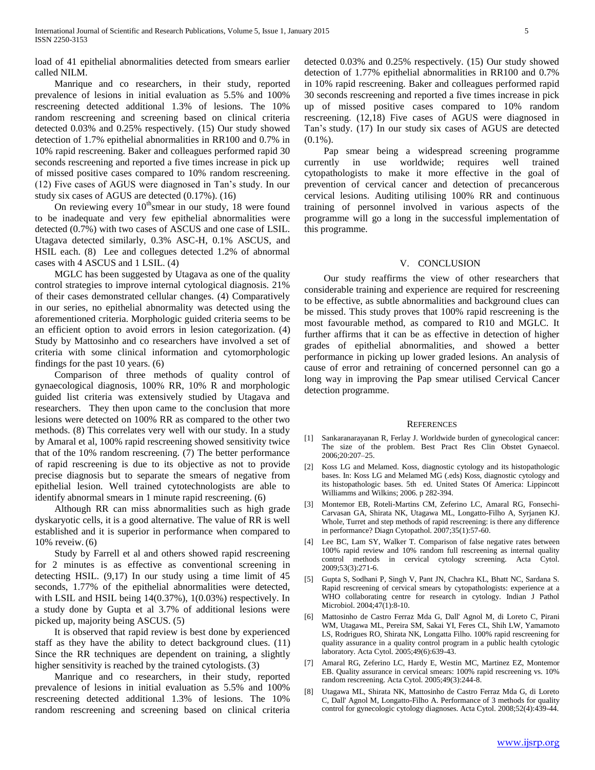load of 41 epithelial abnormalities detected from smears earlier called NILM.

 Manrique and co researchers, in their study, reported prevalence of lesions in initial evaluation as 5.5% and 100% rescreening detected additional 1.3% of lesions. The 10% random rescreening and screening based on clinical criteria detected 0.03% and 0.25% respectively. (15) Our study showed detection of 1.7% epithelial abnormalities in RR100 and 0.7% in 10% rapid rescreening. Baker and colleagues performed rapid 30 seconds rescreening and reported a five times increase in pick up of missed positive cases compared to 10% random rescreening. (12) Five cases of AGUS were diagnosed in Tan's study. In our study six cases of AGUS are detected (0.17%). (16)

On reviewing every  $10^{th}$ smear in our study, 18 were found to be inadequate and very few epithelial abnormalities were detected (0.7%) with two cases of ASCUS and one case of LSIL. Utagava detected similarly, 0.3% ASC-H, 0.1% ASCUS, and HSIL each. (8) Lee and collegues detected 1.2% of abnormal cases with 4 ASCUS and 1 LSIL. (4)

 MGLC has been suggested by Utagava as one of the quality control strategies to improve internal cytological diagnosis. 21% of their cases demonstrated cellular changes. (4) Comparatively in our series, no epithelial abnormality was detected using the aforementioned criteria. Morphologic guided criteria seems to be an efficient option to avoid errors in lesion categorization. (4) Study by Mattosinho and co researchers have involved a set of criteria with some clinical information and cytomorphologic findings for the past 10 years. (6)

 Comparison of three methods of quality control of gynaecological diagnosis, 100% RR, 10% R and morphologic guided list criteria was extensively studied by Utagava and researchers. They then upon came to the conclusion that more lesions were detected on 100% RR as compared to the other two methods. (8) This correlates very well with our study. In a study by Amaral et al, 100% rapid rescreening showed sensitivity twice that of the 10% random rescreening. (7) The better performance of rapid rescreening is due to its objective as not to provide precise diagnosis but to separate the smears of negative from epithelial lesion. Well trained cytotechnologists are able to identify abnormal smears in 1 minute rapid rescreening. (6)

 Although RR can miss abnormalities such as high grade dyskaryotic cells, it is a good alternative. The value of RR is well established and it is superior in performance when compared to 10% reveiw. (6)

 Study by Farrell et al and others showed rapid rescreening for 2 minutes is as effective as conventional screening in detecting HSIL. (9,17) In our study using a time limit of 45 seconds, 1.77% of the epithelial abnormalities were detected, with LSIL and HSIL being 14(0.37%), 1(0.03%) respectively. In a study done by Gupta et al 3.7% of additional lesions were picked up, majority being ASCUS. (5)

 It is observed that rapid review is best done by experienced staff as they have the ability to detect background clues. (11) Since the RR techniques are dependent on training, a slightly higher sensitivity is reached by the trained cytologists. (3)

 Manrique and co researchers, in their study, reported prevalence of lesions in initial evaluation as 5.5% and 100% rescreening detected additional 1.3% of lesions. The 10% random rescreening and screening based on clinical criteria detected 0.03% and 0.25% respectively. (15) Our study showed detection of 1.77% epithelial abnormalities in RR100 and 0.7% in 10% rapid rescreening. Baker and colleagues performed rapid 30 seconds rescreening and reported a five times increase in pick up of missed positive cases compared to 10% random rescreening. (12,18) Five cases of AGUS were diagnosed in Tan's study. (17) In our study six cases of AGUS are detected  $(0.1\%)$ .

 Pap smear being a widespread screening programme currently in use worldwide; requires well trained cytopathologists to make it more effective in the goal of prevention of cervical cancer and detection of precancerous cervical lesions. Auditing utilising 100% RR and continuous training of personnel involved in various aspects of the programme will go a long in the successful implementation of this programme.

## V. CONCLUSION

 Our study reaffirms the view of other researchers that considerable training and experience are required for rescreening to be effective, as subtle abnormalities and background clues can be missed. This study proves that 100% rapid rescreening is the most favourable method, as compared to R10 and MGLC. It further affirms that it can be as effective in detection of higher grades of epithelial abnormalities, and showed a better performance in picking up lower graded lesions. An analysis of cause of error and retraining of concerned personnel can go a long way in improving the Pap smear utilised Cervical Cancer detection programme.

## **REFERENCES**

- [1] Sankaranarayanan R, Ferlay J. Worldwide burden of gynecological cancer: The size of the problem. Best Pract Res Clin Obstet Gynaecol. 2006;20:207–25.
- [2] Koss LG and Melamed. Koss, diagnostic cytology and its histopathologic bases. In: Koss LG and Melamed MG (.eds) Koss, diagnostic cytology and its histopathologic bases. 5th ed. United States Of America: Lippincott Williamms and Wilkins; 2006. p 282-394.
- [3] Montemor EB, Roteli-Martins CM, Zeferino LC, Amaral RG, Fonsechi-Carvasan GA, Shirata NK, Utagawa ML, Longatto-Filho A, Syrjanen KJ. Whole, Turret and step methods of rapid rescreening: is there any difference in performance? Diagn Cytopathol. 2007;35(1):57-60.
- [4] Lee BC, Lam SY, Walker T. Comparison of false negative rates between 100% rapid review and 10% random full rescreening as internal quality control methods in cervical cytology screening. Acta Cytol. 2009;53(3):271-6.
- [5] Gupta S, Sodhani P, Singh V, Pant JN, Chachra KL, Bhatt NC, Sardana S. Rapid rescreening of cervical smears by cytopathologists: experience at a WHO collaborating centre for research in cytology. Indian J Pathol Microbiol. 2004;47(1):8-10.
- [6] Mattosinho de Castro Ferraz Mda G, Dall' Agnol M, di Loreto C, Pirani WM, Utagawa ML, Pereira SM, Sakai YI, Feres CL, Shih LW, Yamamoto LS, Rodrigues RO, Shirata NK, Longatta Filho. 100% rapid rescreening for quality assurance in a quality control program in a public health cytologic laboratory. Acta Cytol. 2005;49(6):639-43.
- [7] Amaral RG, Zeferino LC, Hardy E, Westin MC, Martinez EZ, Montemor EB. Quality assurance in cervical smears: 100% rapid rescreening vs. 10% random rescreening. Acta Cytol. 2005;49(3):244-8.
- [8] Utagawa ML, Shirata NK, Mattosinho de Castro Ferraz Mda G, di Loreto C, Dall' Agnol M, Longatto-Filho A. Performance of 3 methods for quality control for gynecologic cytology diagnoses. Acta Cytol. 2008;52(4):439-44.